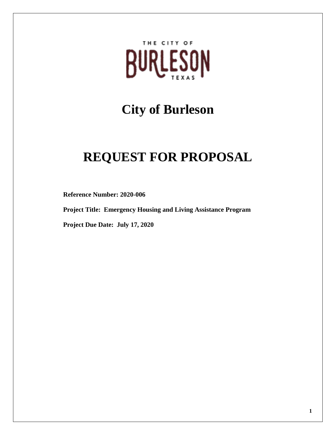

# **City of Burleson**

# **REQUEST FOR PROPOSAL**

**Reference Number: 2020-006**

**Project Title: Emergency Housing and Living Assistance Program** 

**Project Due Date: July 17, 2020**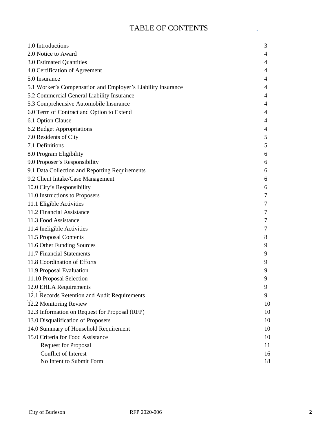# TABLE OF CONTENTS

 $\mathcal{A}$ 

| 1.0 Introductions<br>2.0 Notice to Award                     | 3<br>4 |
|--------------------------------------------------------------|--------|
| 3.0 Estimated Quantities                                     | 4      |
| 4.0 Certification of Agreement                               | 4      |
| 5.0 Insurance                                                | 4      |
| 5.1 Worker's Compensation and Employer's Liability Insurance | 4      |
| 5.2 Commercial General Liability Insurance                   | 4      |
| 5.3 Comprehensive Automobile Insurance                       | 4      |
| 6.0 Term of Contract and Option to Extend                    | 4      |
| 6.1 Option Clause                                            | 4      |
| 6.2 Budget Appropriations                                    | 4      |
| 7.0 Residents of City                                        | 5      |
| 7.1 Definitions                                              | 5      |
| 8.0 Program Eligibility                                      | 6      |
| 9.0 Proposer's Responsibility                                | 6      |
| 9.1 Data Collection and Reporting Requirements               | 6      |
| 9.2 Client Intake/Case Management                            | 6      |
| 10.0 City's Responsibility                                   | 6      |
| 11.0 Instructions to Proposers                               | 7      |
| 11.1 Eligible Activities                                     | 7      |
| 11.2 Financial Assistance                                    | 7      |
| 11.3 Food Assistance                                         | 7      |
| 11.4 Ineligible Activities                                   | 7      |
| 11.5 Proposal Contents                                       | 8      |
| 11.6 Other Funding Sources                                   | 9      |
| 11.7 Financial Statements                                    | 9      |
| 11.8 Coordination of Efforts                                 | 9      |
| 11.9 Proposal Evaluation                                     | 9      |
| 11.10 Proposal Selection                                     | 9      |
| 12.0 EHLA Requirements                                       | 9      |
| 12.1 Records Retention and Audit Requirements                | 9      |
| 12.2 Monitoring Review                                       | 10     |
| 12.3 Information on Request for Proposal (RFP)               | 10     |
| 13.0 Disqualification of Proposers                           | 10     |
| 14.0 Summary of Household Requirement                        | 10     |
| 15.0 Criteria for Food Assistance                            | 10     |
| <b>Request for Proposal</b>                                  | 11     |
| Conflict of Interest                                         | 16     |
| No Intent to Submit Form                                     | 18     |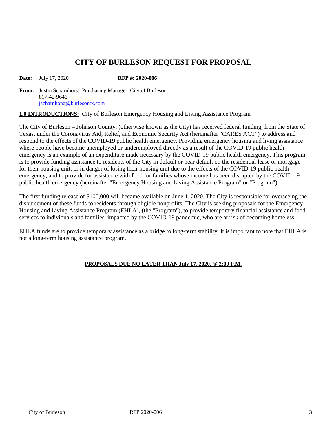# **CITY OF BURLESON REQUEST FOR PROPOSAL**

**Date:** July 17, 2020 **RFP** #: 2020-006

**From:** Justin Scharnhorst, Purchasing Manager, City of Burleson 817-42-9646 [jscharnhorst@burlesontx.com](mailto:jscharnhorst@burlesontx.com)

**1.0 INTRODUCTIONS:** City of Burleson Emergency Housing and Living Assistance Program

The City of Burleson – Johnson County, (otherwise known as the City) has received federal funding, from the State of Texas, under the Coronavirus Aid, Relief, and Economic Security Act (hereinafter "CARES ACT") to address and respond to the effects of the COVID-19 public health emergency. Providing emergency housing and living assistance where people have become unemployed or underemployed directly as a result of the COVID-19 public health emergency is an example of an expenditure made necessary by the COVID-19 public health emergency. This program is to provide funding assistance to residents of the City in default or near default on the residential lease or mortgage for their housing unit, or in danger of losing their housing unit due to the effects of the COVID-19 public health emergency, and to provide for assistance with food for families whose income has been disrupted by the COVID-19 public health emergency (hereinafter "Emergency Housing and Living Assistance Program" or "Program").

The first funding release of \$100,000 will became available on June 1, 2020. The City is responsible for overseeing the disbursement of these funds to residents through eligible nonprofits. The City is seeking proposals for the Emergency Housing and Living Assistance Program (EHLA), (the "Program"), to provide temporary financial assistance and food services to individuals and families, impacted by the COVID-19 pandemic, who are at risk of becoming homeless

EHLA funds are to provide temporary assistance as a bridge to long-term stability. It is important to note that EHLA is not a long-term housing assistance program.

#### **PROPOSALS DUE NO LATER THAN July 17, 2020, @ 2:00 P.M.**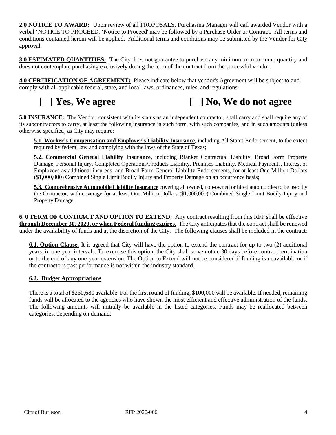**2.0 NOTICE TO AWARD:** Upon review of all PROPOSALS, Purchasing Manager will call awarded Vendor with a verbal 'NOTICE TO PROCEED. 'Notice to Proceed' may be followed by a Purchase Order or Contract. All terms and conditions contained herein will be applied. Additional terms and conditions may be submitted by the Vendor for City approval.

**3.0 ESTIMATED QUANTITIES:** The City does not guarantee to purchase any minimum or maximum quantity and does not contemplate purchasing exclusively during the term of the contract from the successful vendor.

**4.0 CERTIFICATION OF AGREEMENT:** Please indicate below that vendor's Agreement will be subject to and comply with all applicable federal, state, and local laws, ordinances, rules, and regulations.

# **[ ] Yes, We agree [ ] No, We do not agree**

**5.0 INSURANCE:** The Vendor, consistent with its status as an independent contractor, shall carry and shall require any of its subcontractors to carry, at least the following insurance in such form, with such companies, and in such amounts (unless otherwise specified) as City may require:

**5.1. Worker's Compensation and Employer's Liability Insurance,** including All States Endorsement, to the extent required by federal law and complying with the laws of the State of Texas;

**5.2. Commercial General Liability Insurance,** including Blanket Contractual Liability, Broad Form Property Damage, Personal Injury, Completed Operations/Products Liability, Premises Liability, Medical Payments, Interest of Employees as additional insureds, and Broad Form General Liability Endorsements, for at least One Million Dollars (\$1,000,000) Combined Single Limit Bodily Injury and Property Damage on an occurrence basis;

**5.3. Comprehensive Automobile Liability Insurance** covering all owned, non-owned or hired automobiles to be used by the Contractor, with coverage for at least One Million Dollars (\$1,000,000) Combined Single Limit Bodily Injury and Property Damage.

**6. 0 TERM OF CONTRACT AND OPTION TO EXTEND:** Any contract resulting from this RFP shall be effective **through December 30, 2020, or when Federal funding expires.** The City anticipates that the contract shall be renewed under the availability of funds and at the discretion of the City. The following clauses shall be included in the contract:

**6.1. Option Clause**: It is agreed that City will have the option to extend the contract for up to two (2) additional years, in one-year intervals. To exercise this option, the City shall serve notice 30 days before contract termination or to the end of any one-year extension. The Option to Extend will not be considered if funding is unavailable or if the contractor's past performance is not within the industry standard.

#### **6.2. Budget Appropriations**

There is a total of \$230,680 available. For the first round of funding, \$100,000 will be available. If needed, remaining funds will be allocated to the agencies who have shown the most efficient and effective administration of the funds. The following amounts will initially be available in the listed categories. Funds may be reallocated between categories, depending on demand: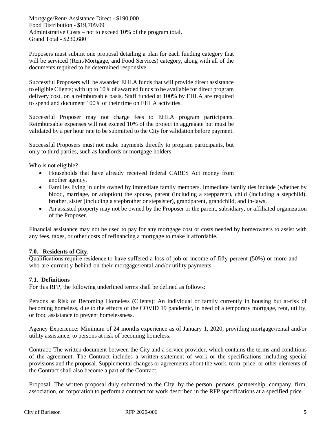Mortgage/Rent/ Assistance Direct - \$190,000 Food Distribution - \$19,709.09 Administrative Costs – not to exceed 10% of the program total. Grand Total - \$230,680

Proposers must submit one proposal detailing a plan for each funding category that will be serviced (Rent/Mortgage, and Food Services) category, along with all of the documents required to be determined responsive.

Successful Proposers will be awarded EHLA funds that will provide direct assistance to eligible Clients; with up to 10% of awarded funds to be available for direct program delivery cost, on a reimbursable basis. Staff funded at 100% by EHLA are required to spend and document 100% of their time on EHLA activities.

Successful Proposer may not charge fees to EHLA program participants. Reimbursable expenses will not exceed 10% of the project in aggregate but must be validated by a per hour rate to be submitted to the City for validation before payment.

Successful Proposers must not make payments directly to program participants, but only to third parties, such as landlords or mortgage holders.

Who is not eligible?

- Households that have already received federal CARES Act money from another agency.
- Families living in units owned by immediate family members. Immediate family ties include (whether by blood, marriage, or adoption) the spouse, parent (including a stepparent), child (including a stepchild), brother, sister (including a stepbrother or stepsister), grandparent, grandchild, and in-laws.
- An assisted property may not be owned by the Proposer or the parent, subsidiary, or affiliated organization of the Proposer.

Financial assistance may not be used to pay for any mortgage cost or costs needed by homeowners to assist with any fees, taxes, or other costs of refinancing a mortgage to make it affordable.

#### **7.0. Residents of City**,

Qualifications require residence to have suffered a loss of job or income of fifty percent (50%) or more and who are currently behind on their mortgage/rental and/or utility payments.

#### **7.1. Definitions**

For this RFP, the following underlined terms shall be defined as follows:

Persons at Risk of Becoming Homeless (Clients): An individual or family currently in housing but at-risk of becoming homeless, due to the effects of the COVID 19 pandemic, in need of a temporary mortgage, rent, utility, or food assistance to prevent homelessness.

Agency Experience: Minimum of 24 months experience as of January 1, 2020, providing mortgage/rental and/or utility assistance, to persons at risk of becoming homeless.

Contract: The written document between the City and a service provider, which contains the terms and conditions of the agreement. The Contract includes a written statement of work or the specifications including special provisions and the proposal. Supplemental changes or agreements about the work, term, price, or other elements of the Contract shall also become a part of the Contract.

Proposal: The written proposal duly submitted to the City, by the person, persons, partnership, company, firm, association, or corporation to perform a contract for work described in the RFP specifications at a specified price.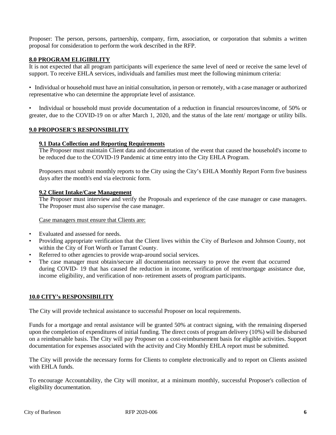Proposer: The person, persons, partnership, company, firm, association, or corporation that submits a written proposal for consideration to perform the work described in the RFP.

#### **8.0 PROGRAM ELIGIBILITY**

It is not expected that all program participants will experience the same level of need or receive the same level of support. To receive EHLA services, individuals and families must meet the following minimum criteria:

• Individual or household must have an initial consultation, in person or remotely, with a case manager or authorized representative who can determine the appropriate level of assistance.

• Individual or household must provide documentation of a reduction in financial resources/income, of 50% or greater, due to the COVID-19 on or after March 1, 2020, and the status of the late rent/ mortgage or utility bills.

#### **9.0 PROPOSER'S RESPONSIBILITY**

#### **9.1 Data Collection and Reporting Requirements**

The Proposer must maintain Client data and documentation of the event that caused the household's income to be reduced due to the COVID-19 Pandemic at time entry into the City EHLA Program.

Proposers must submit monthly reports to the City using the City's EHLA Monthly Report Form five business days after the month's end via electronic form.

#### **9.2 Client Intake/Case Management**

The Proposer must interview and verify the Proposals and experience of the case manager or case managers. The Proposer must also supervise the case manager.

#### Case managers must ensure that Clients are:

- Evaluated and assessed for needs.
- Providing appropriate verification that the Client lives within the City of Burleson and Johnson County, not within the City of Fort Worth or Tarrant County.
- Referred to other agencies to provide wrap-around social services.
- The case manager must obtain/secure all documentation necessary to prove the event that occurred during COVID- 19 that has caused the reduction in income, verification of rent/mortgage assistance due, income eligibility, and verification of non- retirement assets of program participants.

#### **10.0 CITY's RESPONSIBILITY**

The City will provide technical assistance to successful Proposer on local requirements.

Funds for a mortgage and rental assistance will be granted 50% at contract signing, with the remaining dispersed upon the completion of expenditures of initial funding. The direct costs of program delivery (10%) will be disbursed on a reimbursable basis. The City will pay Proposer on a cost-reimbursement basis for eligible activities. Support documentation for expenses associated with the activity and City Monthly EHLA report must be submitted.

The City will provide the necessary forms for Clients to complete electronically and to report on Clients assisted with EHLA funds.

To encourage Accountability, the City will monitor, at a minimum monthly, successful Proposer's collection of eligibility documentation.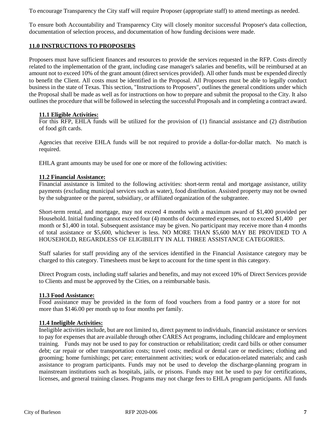To encourage Transparency the City staff will require Proposer (appropriate staff) to attend meetings as needed.

To ensure both Accountability and Transparency City will closely monitor successful Proposer's data collection, documentation of selection process, and documentation of how funding decisions were made.

#### **11.0 INSTRUCTIONS TO PROPOSERS**

Proposers must have sufficient finances and resources to provide the services requested in the RFP. Costs directly related to the implementation of the grant, including case manager's salaries and benefits, will be reimbursed at an amount not to exceed 10% of the grant amount (direct services provided). All other funds must be expended directly to benefit the Client. All costs must be identified in the Proposal. All Proposers must be able to legally conduct business in the state of Texas. This section, "Instructions to Proposers", outlines the general conditions under which the Proposal shall be made as well as for instructions on how to prepare and submit the proposal to the City. It also outlines the procedure that will be followed in selecting the successful Proposals and in completing a contract award.

#### **11.1 Eligible Activities:**

For this RFP, EHLA funds will be utilized for the provision of (1) financial assistance and (2) distribution of food gift cards.

Agencies that receive EHLA funds will be not required to provide a dollar-for-dollar match. No match is required.

EHLA grant amounts may be used for one or more of the following activities:

#### **11.2 Financial Assistance:**

Financial assistance is limited to the following activities: short-term rental and mortgage assistance, utility payments (excluding municipal services such as water), food distribution. Assisted property may not be owned by the subgrantee or the parent, subsidiary, or affiliated organization of the subgrantee.

Short-term rental, and mortgage, may not exceed 4 months with a maximum award of \$1,400 provided per Household. Initial funding cannot exceed four (4) months of documented expenses, not to exceed \$1,400 per month or \$1,400 in total. Subsequent assistance may be given. No participant may receive more than 4 months of total assistance or \$5,600, whichever is less. NO MORE THAN \$5,600 MAY BE PROVIDED TO A HOUSEHOLD, REGARDLESS OF ELIGIBILITY IN ALL THREE ASSISTANCE CATEGORIES.

Staff salaries for staff providing any of the services identified in the Financial Assistance category may be charged to this category. Timesheets must be kept to account for the time spent in this category.

Direct Program costs, including staff salaries and benefits, and may not exceed 10% of Direct Services provide to Clients and must be approved by the Cities, on a reimbursable basis.

#### **11.3 Food Assistance:**

Food assistance may be provided in the form of food vouchers from a food pantry or a store for not more than \$146.00 per month up to four months per family.

#### **11.4 Ineligible Activities:**

Ineligible activities include, but are not limited to, direct payment to individuals, financial assistance or services to pay for expenses that are available through other CARES Act programs, including childcare and employment training. Funds may not be used to pay for construction or rehabilitation; credit card bills or other consumer debt; car repair or other transportation costs; travel costs; medical or dental care or medicines; clothing and grooming; home furnishings; pet care; entertainment activities; work or education-related materials; and cash assistance to program participants. Funds may not be used to develop the discharge-planning program in mainstream institutions such as hospitals, jails, or prisons. Funds may not be used to pay for certifications, licenses, and general training classes. Programs may not charge fees to EHLA program participants. All funds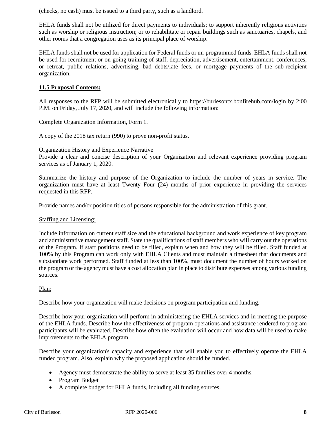(checks, no cash) must be issued to a third party, such as a landlord.

EHLA funds shall not be utilized for direct payments to individuals; to support inherently religious activities such as worship or religious instruction; or to rehabilitate or repair buildings such as sanctuaries, chapels, and other rooms that a congregation uses as its principal place of worship.

EHLA funds shall not be used for application for Federal funds or un-programmed funds. EHLA funds shall not be used for recruitment or on-going training of staff, depreciation, advertisement, entertainment, conferences, or retreat, public relations, advertising, bad debts/late fees, or mortgage payments of the sub-recipient organization.

#### **11.5 Proposal Contents:**

All responses to the RFP will be submitted electronically to https://burlesontx.bonfirehub.com/login by 2:00 P.M. on Friday, July 17, 2020, and will include the following information:

Complete Organization Information, Form 1.

A copy of the 2018 tax return (990) to prove non-profit status.

Organization History and Experience Narrative

Provide a clear and concise description of your Organization and relevant experience providing program services as of January 1, 2020.

Summarize the history and purpose of the Organization to include the number of years in service. The organization must have at least Twenty Four (24) months of prior experience in providing the services requested in this RFP.

Provide names and/or position titles of persons responsible for the administration of this grant.

#### Staffing and Licensing:

Include information on current staff size and the educational background and work experience of key program and administrative management staff. State the qualifications of staff members who will carry out the operations of the Program. If staff positions need to be filled, explain when and how they will be filled. Staff funded at 100% by this Program can work only with EHLA Clients and must maintain a timesheet that documents and substantiate work performed. Staff funded at less than 100%, must document the number of hours worked on the program or the agency must have a cost allocation plan in place to distribute expenses among various funding sources.

#### Plan:

Describe how your organization will make decisions on program participation and funding.

Describe how your organization will perform in administering the EHLA services and in meeting the purpose of the EHLA funds. Describe how the effectiveness of program operations and assistance rendered to program participants will be evaluated. Describe how often the evaluation will occur and how data will be used to make improvements to the EHLA program.

Describe your organization's capacity and experience that will enable you to effectively operate the EHLA funded program. Also, explain why the proposed application should be funded.

- Agency must demonstrate the ability to serve at least 35 families over 4 months.
- Program Budget
- A complete budget for EHLA funds, including all funding sources.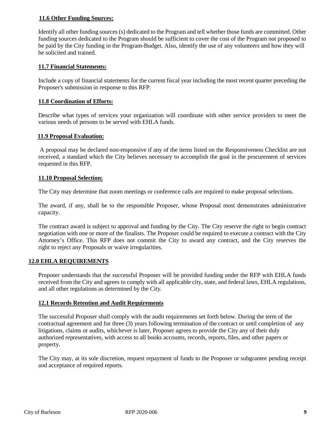#### **11.6 Other Funding Sources:**

Identify all other funding sources (s) dedicated to the Program and tell whether those funds are committed. Other funding sources dedicated to the Program should be sufficient to cover the cost of the Program not proposed to be paid by the City funding in the Program-Budget. Also, identify the use of any volunteers and how they will be solicited and trained.

#### **11.7 Financial Statements:**

Include a copy of financial statements for the current fiscal year including the most recent quarter preceding the Proposer's submission in response to this RFP.

#### **11.8 Coordination of Efforts:**

Describe what types of services your organization will coordinate with other service providers to meet the various needs of persons to be served with EHLA funds.

#### **11.9 Proposal Evaluation:**

A proposal may be declared non-responsive if any of the items listed on the Responsiveness Checklist are not received, a standard which the City believes necessary to accomplish the goal in the procurement of services requested in this RFP.

#### **11.10 Proposal Selection:**

The City may determine that zoom meetings or conference calls are required to make proposal selections.

The award, if any, shall be to the responsible Proposer, whose Proposal most demonstrates administrative capacity.

The contract award is subject to approval and funding by the City. The City reserve the right to begin contract negotiation with one or more of the finalists. The Proposer could be required to execute a contract with the City Attorney's Office. This RFP does not commit the City to award any contract, and the City reserves the right to reject any Proposals or waive irregularities.

#### **12.0 EHLA REQUIREMENTS**

Proposer understands that the successful Proposer will be provided funding under the RFP with EHLA funds received from the City and agrees to comply with all applicable city, state, and federal laws, EHLA regulations, and all other regulations as determined by the City.

#### **12.1 Records Retention and Audit Requirements**

The successful Proposer shall comply with the audit requirements set forth below. During the term of the contractual agreement and for three (3) years following termination of the contract or until completion of any litigations, claims or audits, whichever is later, Proposer agrees to provide the City any of their duly authorized representatives, with access to all books accounts, records, reports, files, and other papers or property.

The City may, at its sole discretion, request repayment of funds to the Proposer or subgrantee pending receipt and acceptance of required reports.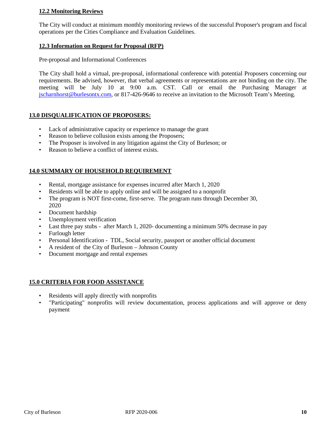#### **12.2 Monitoring Reviews**

The City will conduct at minimum monthly monitoring reviews of the successful Proposer's program and fiscal operations per the Cities Compliance and Evaluation Guidelines.

#### **12.3 Information on Request for Proposal (RFP)**

Pre-proposal and Informational Conferences

The City shall hold a virtual, pre-proposal, informational conference with potential Proposers concerning our requirements. Be advised, however, that verbal agreements or representations are not binding on the city. The meeting will be July 10 at 9:00 a.m. CST. Call or email the Purchasing Manager at [jscharnhorst@burlesontx.com,](mailto:jscharnhorst@burlesontx.com) or 817-426-9646 to receive an invitation to the Microsoft Team's Meeting.

#### **13.0 DISQUALIFICATION OF PROPOSERS:**

- Lack of administrative capacity or experience to manage the grant
- Reason to believe collusion exists among the Proposers;
- The Proposer is involved in any litigation against the City of Burleson; or
- Reason to believe a conflict of interest exists.

#### **14.0 SUMMARY OF HOUSEHOLD REQUIREMENT**

- Rental, mortgage assistance for expenses incurred after March 1, 2020
- Residents will be able to apply online and will be assigned to a nonprofit
- The program is NOT first-come, first-serve. The program runs through December 30, 2020
- Document hardship
- Unemployment verification
- Last three pay stubs after March 1, 2020- documenting a minimum 50% decrease in pay
- Furlough letter
- Personal Identification TDL, Social security, passport or another official document
- A resident of the City of Burleson Johnson County
- Document mortgage and rental expenses

#### **15.0 CRITERIA FOR FOOD ASSISTANCE**

- Residents will apply directly with nonprofits
- "Participating" nonprofits will review documentation, process applications and will approve or deny payment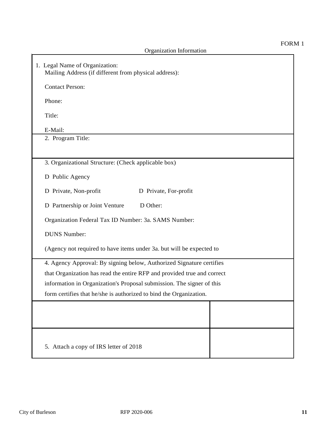| 1. Legal Name of Organization:<br>Mailing Address (if different from physical address): |  |  |  |
|-----------------------------------------------------------------------------------------|--|--|--|
| <b>Contact Person:</b>                                                                  |  |  |  |
| Phone:                                                                                  |  |  |  |
| Title:                                                                                  |  |  |  |
| E-Mail:                                                                                 |  |  |  |
| 2. Program Title:                                                                       |  |  |  |
|                                                                                         |  |  |  |
| 3. Organizational Structure: (Check applicable box)                                     |  |  |  |
| D Public Agency                                                                         |  |  |  |
| D Private, Non-profit<br>D Private, For-profit                                          |  |  |  |
| D Partnership or Joint Venture<br>D Other:                                              |  |  |  |
| Organization Federal Tax ID Number: 3a. SAMS Number:                                    |  |  |  |
| <b>DUNS Number:</b>                                                                     |  |  |  |
| (Agency not required to have items under 3a. but will be expected to                    |  |  |  |
| 4. Agency Approval: By signing below, Authorized Signature certifies                    |  |  |  |
| that Organization has read the entire RFP and provided true and correct                 |  |  |  |
| information in Organization's Proposal submission. The signer of this                   |  |  |  |
| form certifies that he/she is authorized to bind the Organization.                      |  |  |  |
|                                                                                         |  |  |  |
|                                                                                         |  |  |  |
|                                                                                         |  |  |  |
| 5. Attach a copy of IRS letter of 2018                                                  |  |  |  |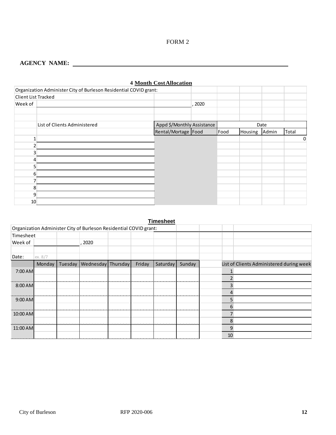FORM 2

#### **AGENCY NAME:**

|                     | Organization Administer City of Burleson Residential COVID grant: |                            |        |      |         |       |       |   |
|---------------------|-------------------------------------------------------------------|----------------------------|--------|------|---------|-------|-------|---|
| Client List Tracked |                                                                   |                            |        |      |         |       |       |   |
| Week of             |                                                                   |                            | , 2020 |      |         |       |       |   |
|                     |                                                                   |                            |        |      |         |       |       |   |
|                     |                                                                   |                            |        |      |         |       |       |   |
|                     | List of Clients Administered                                      | Appd \$/Monthly Assistance |        | Date |         |       |       |   |
|                     |                                                                   | Rental/Mortage   Food      |        | Food | Housing | Admin | Total |   |
|                     |                                                                   |                            |        |      |         |       |       | 0 |
|                     |                                                                   |                            |        |      |         |       |       |   |
|                     |                                                                   |                            |        |      |         |       |       |   |
|                     |                                                                   |                            |        |      |         |       |       |   |
|                     |                                                                   |                            |        |      |         |       |       |   |
| 6                   |                                                                   |                            |        |      |         |       |       |   |
|                     |                                                                   |                            |        |      |         |       |       |   |
| 8                   |                                                                   |                            |        |      |         |       |       |   |
| 9                   |                                                                   |                            |        |      |         |       |       |   |
| 10                  |                                                                   |                            |        |      |         |       |       |   |

|  | <b>4 Month Cost Allocation</b> |
|--|--------------------------------|
|  |                                |

#### **Timesheet** Organization Administer City of Burleson Residential COVID grant: Timesheet Week of **the contract of the contract of the contract of the contract of the contract of the contract of the contract of the contract of the contract of the contract of the contract of the contract of the contract of the c** Date: ex. 8/7 Tuesday Wednesday Thursday Friday Saturday Sunday List of Clients Administered during week7:00 AM 1 2 8:00 AM 3 3 3 3 4 4 5 6 7 7 8 3 4 5 7 8 7 8 7 8 7 9 3 4 5 7 8 7 8 7 8 7 8 3 4 5 8 7 8 7 8 7 8 7 8 7 8 7 8 7 8 1 4 . . . . . 9:00 AM 5 6 10:00 AM **7** 8 11:00 AM 9 10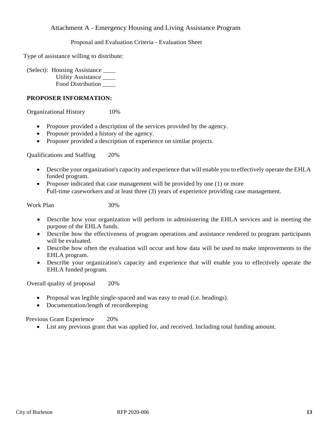#### Attachment A - Emergency Housing and Living Assistance Program

Proposal and Evaluation Criteria - Evaluation Sheet

Type of assistance willing to distribute:

(Select): Housing Assistance \_\_\_\_ Utility Assistance \_\_\_\_ Food Distribution \_\_\_\_

#### **PROPOSER INFORMATION:**

Organizational History 10%

- Proposer provided a description of the services provided by the agency.
- Proposer provided a history of the agency.
- Proposer provided a description of experience on similar projects.

Qualifications and Staffing 20%

- Describe your organization's capacity and experience that will enable you to effectively operate the EHLA funded program.
- Proposer indicated that case management will be provided by one (1) or more Full-time caseworkers and at least three (3) years of experience providing case management.

Work Plan 30%

- Describe how your organization will perform in administering the EHLA services and in meeting the purpose of the EHLA funds.
- Describe how the effectiveness of program operations and assistance rendered to program participants will be evaluated.
- Describe how often the evaluation will occur and how data will be used to make improvements to the EHLA program.
- Describe your organization's capacity and experience that will enable you to effectively operate the EHLA funded program.

Overall quality of proposal 20%

- Proposal was legible single-spaced and was easy to read (i.e. headings).
- Documentation/length of recordkeeping

Previous Grant Experience 20%

• List any previous grant that was applied for, and received. Including total funding amount.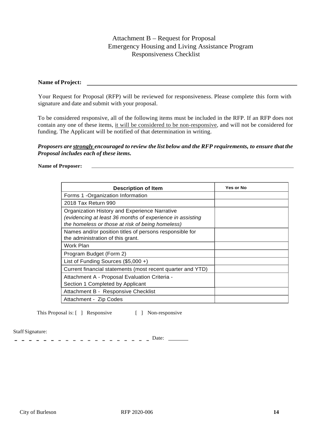### Attachment B – Request for Proposal Emergency Housing and Living Assistance Program Responsiveness Checklist

#### **Name of Project:**

Your Request for Proposal (RFP) will be reviewed for responsiveness. Please complete this form with signature and date and submit with your proposal.

To be considered responsive, all of the following items must be included in the RFP. If an RFP does not contain any one of these items, it will be considered to be non-responsive, and will not be considered for funding. The Applicant will be notified of that determination in writing.

#### *Proposers are strongly encouraged to review the list below and the RFP requirements, to ensure that the Proposal includes each of these items.*

#### **Name of Proposer:**

| <b>Description of Item</b>                                                                                    | Yes or No |
|---------------------------------------------------------------------------------------------------------------|-----------|
| Forms 1 - Organization Information                                                                            |           |
| 2018 Tax Return 990                                                                                           |           |
| Organization History and Experience Narrative                                                                 |           |
| (evidencing at least 36 months of experience in assisting<br>the homeless or those at risk of being homeless) |           |
| Names and/or position titles of persons responsible for<br>the administration of this grant.                  |           |
| Work Plan                                                                                                     |           |
| Program Budget (Form 2)                                                                                       |           |
| List of Funding Sources (\$5,000 +)                                                                           |           |
| Current financial statements (most recent quarter and YTD)                                                    |           |
| Attachment A - Proposal Evaluation Criteria -                                                                 |           |
| Section 1 Completed by Applicant                                                                              |           |
| Attachment B - Responsive Checklist                                                                           |           |
| Attachment - Zip Codes                                                                                        |           |

This Proposal is: [ ] Responsive [ ] Non-responsive

#### Staff Signature:

- - - - - - - - - - - - - - - - Date: \_\_\_\_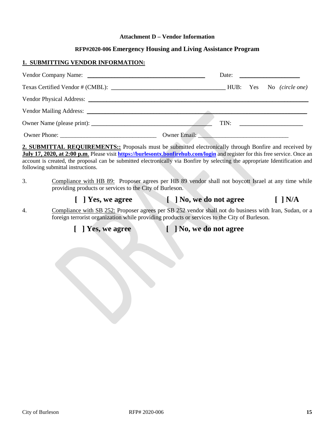#### **Attachment D – Vendor Information**

#### **RFP#2020-006 Emergency Housing and Living Assistance Program**

#### **1. SUBMITTING VENDOR INFORMATION:**

|                                                                                                                                                                                                                                |                                                                                                                                                                                                                               |  | Date: $\qquad \qquad$                   |
|--------------------------------------------------------------------------------------------------------------------------------------------------------------------------------------------------------------------------------|-------------------------------------------------------------------------------------------------------------------------------------------------------------------------------------------------------------------------------|--|-----------------------------------------|
|                                                                                                                                                                                                                                |                                                                                                                                                                                                                               |  |                                         |
| Vendor Physical Address: New York and Separate and Separate and Separate and Separate and Separate and Separate and Separate and Separate and Separate and Separate and Separate and Separate and Separate and Separate and Se |                                                                                                                                                                                                                               |  |                                         |
|                                                                                                                                                                                                                                |                                                                                                                                                                                                                               |  |                                         |
|                                                                                                                                                                                                                                |                                                                                                                                                                                                                               |  | $\begin{tabular}{c} TIN: \end{tabular}$ |
|                                                                                                                                                                                                                                | Owner Email: 2008. [2016] [2016] [2016] [2016] [2016] [2016] [2016] [2016] [2016] [2016] [2016] [2016] [2016] [2016] [2016] [2016] [2016] [2016] [2016] [2016] [2016] [2016] [2016] [2016] [2016] [2016] [2016] [2016] [2016] |  |                                         |

**2. SUBMITTAL REQUIREMENTS::** Proposals must be submitted electronically through Bonfire and received by **July 17, 2020, at 2:00 p.m**. Please visit **<https://burlesontx.bonfirehub.com/login>** and register for this free service. Once an account is created, the proposal can be submitted electronically via Bonfire by selecting the appropriate Identification and following submittal instructions.

3. Compliance with HB 89: Proposer agrees per HB 89 vendor shall not boycott Israel at any time while providing products or services to the City of Burleson.

### **[ ] Yes, we agree [ ] No, we do not agree [ ] N/A**

4. Compliance with SB 252: Proposer agrees per SB 252 vendor shall not do business with Iran, Sudan, or a foreign terrorist organization while providing products or services to the City of Burleson.

**[ ] Yes, we agree [ ] No, we do not agree**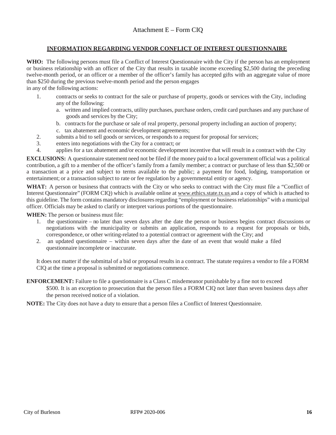#### **INFORMATION REGARDING VENDOR CONFLICT OF INTEREST QUESTIONNAIRE**

**WHO:** The following persons must file a Conflict of Interest Questionnaire with the City if the person has an employment or business relationship with an officer of the City that results in taxable income exceeding \$2,500 during the preceding twelve-month period, or an officer or a member of the officer's family has accepted gifts with an aggregate value of more than \$250 during the previous twelve-month period and the person engages

in any of the following actions:

- 1. contracts or seeks to contract for the sale or purchase of property, goods or services with the City, including any of the following:
	- a. written and implied contracts, utility purchases, purchase orders, credit card purchases and any purchase of goods and services by the City;
	- b. contracts for the purchase or sale of real property, personal property including an auction of property;
	- c. tax abatement and economic development agreements;
- 2. submits a bid to sell goods or services, or responds to a request for proposal for services;
- 3. enters into negotiations with the City for a contract; or
- 4. applies for a tax abatement and/or economic development incentive that will result in a contract with the City

**EXCLUSIONS:** A questionnaire statement need not be filed if the money paid to a local government official was a political contribution, a gift to a member of the officer's family from a family member; a contract or purchase of less than \$2,500 or a transaction at a price and subject to terms available to the public; a payment for food, lodging, transportation or entertainment; or a transaction subject to rate or fee regulation by a governmental entity or agency.

**WHAT:** A person or business that contracts with the City or who seeks to contract with the City must file a "Conflict of Interest Questionnaire" (FORM CIQ) which is available online at [www.ethics.state.tx.us](http://www.ethics.state.tx.us/) and a copy of which is attached to this guideline. The form contains mandatory disclosures regarding "employment or business relationships" with a municipal officer. Officials may be asked to clarify or interpret various portions of the questionnaire.

**WHEN:** The person or business must file:

- 1. the questionnaire no later than seven days after the date the person or business begins contract discussions or negotiations with the municipality or submits an application, responds to a request for proposals or bids, correspondence, or other writing-related to a potential contract or agreement with the City; and
- 2. an updated questionnaire within seven days after the date of an event that would make a filed questionnaire incomplete or inaccurate.

It does not matter if the submittal of a bid or proposal results in a contract. The statute requires a vendor to file a FORM CIQ at the time a proposal is submitted or negotiations commence.

**ENFORCEMENT:** Failure to file a questionnaire is a Class C misdemeanor punishable by a fine not to exceed

\$500. It is an exception to prosecution that the person files a FORM CIO not later than seven business days after the person received notice of a violation.

**NOTE:** The City does not have a duty to ensure that a person files a Conflict of Interest Questionnaire.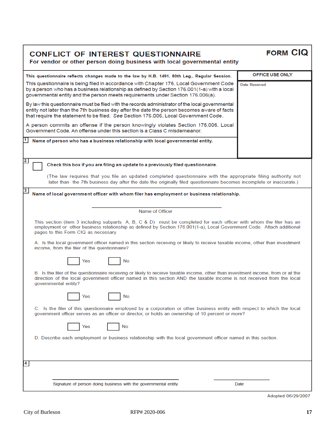| <b>CONFLICT OF INTEREST QUESTIONNAIRE</b>                                |
|--------------------------------------------------------------------------|
| For vendor or other person doing business with local governmental entity |

FORM CIQ

| This questionnaire reflects changes made to the law by H.B. 1491, 80th Leg., Regular Session.                                                                                                                                                                                                     | OFFICE USE ONLY |  |  |
|---------------------------------------------------------------------------------------------------------------------------------------------------------------------------------------------------------------------------------------------------------------------------------------------------|-----------------|--|--|
| This questionnaire is being filed in accordance with Chapter 176, Local Government Code<br><b>Date Received</b><br>by a person who has a business relationship as defined by Section 176.001(1-a) with a local<br>governmental entity and the person meets requirements under Section 176.006(a). |                 |  |  |
| By law this questionnaire must be filed with the records administrator of the local governmental<br>entity not later than the 7th business day after the date the person becomes aware of facts<br>that require the statement to be filed. See Section 176.006, Local Government Code.            |                 |  |  |
| A person commits an offense if the person knowingly violates Section 176.006, Local<br>Government Code, An offense under this section is a Class C misdemeanor.                                                                                                                                   |                 |  |  |
| $1$ Name of person who has a business relationship with local governmental entity.                                                                                                                                                                                                                |                 |  |  |
|                                                                                                                                                                                                                                                                                                   |                 |  |  |
| $\overline{\mathbf{2}}$<br>Check this box if you are filing an update to a previously filed questionnaire.                                                                                                                                                                                        |                 |  |  |
| (The law requires that you file an updated completed questionnaire with the appropriate filing authority not<br>later than the 7th business day after the date the originally filed questionnaire becomes incomplete or inaccurate.)                                                              |                 |  |  |
| $\mathbf{3}$<br>Name of local government officer with whom filer has employment or business relationship.                                                                                                                                                                                         |                 |  |  |
|                                                                                                                                                                                                                                                                                                   |                 |  |  |
| Name of Officer                                                                                                                                                                                                                                                                                   |                 |  |  |
| This section (item 3 including subparts A, B, C & D) must be completed for each officer with whom the filer has an<br>employment or other business relationship as defined by Section 176.001(1-a), Local Government Code. Attach additional<br>pages to this Form CIQ as necessary.              |                 |  |  |
| A. Is the local government officer named in this section receiving or likely to receive taxable income, other than investment<br>income, from the filer of the questionnaire?                                                                                                                     |                 |  |  |
| No<br>Yes                                                                                                                                                                                                                                                                                         |                 |  |  |
| B. Is the filer of the questionnaire receiving or likely to receive taxable income, other than investment income, from or at the<br>direction of the local government officer named in this section AND the taxable income is not received from the local<br>governmental entity?                 |                 |  |  |
| Yes<br>No                                                                                                                                                                                                                                                                                         |                 |  |  |
| C. Is the filer of this questionnaire employed by a corporation or other business entity with respect to which the local<br>government officer serves as an officer or director, or holds an ownership of 10 percent or more?                                                                     |                 |  |  |
| No<br>Yes                                                                                                                                                                                                                                                                                         |                 |  |  |
| D. Describe each employment or business relationship with the local government officer named in this section.                                                                                                                                                                                     |                 |  |  |
|                                                                                                                                                                                                                                                                                                   |                 |  |  |
| $\overline{\mathbf{4}}$                                                                                                                                                                                                                                                                           |                 |  |  |
|                                                                                                                                                                                                                                                                                                   |                 |  |  |
| Signature of person doing business with the governmental entity                                                                                                                                                                                                                                   | Date            |  |  |
|                                                                                                                                                                                                                                                                                                   |                 |  |  |